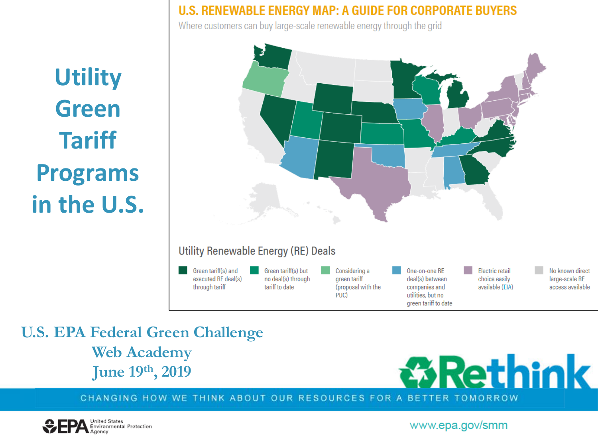**Utility Green Tariff Programs** in the U.S.

#### U.S. RENEWABLE ENERGY MAP: A GUIDE FOR CORPORATE BUYERS

Where customers can buy large-scale renewable energy through the grid



#### Utility Renewable Energy (RE) Deals

Green tariff(s) and executed RE deal(s) through tariff

Green tariff(s) but no deal(s) through tariff to date

Considering a green tariff (proposal with the PUC)

One-on-one RE deal(s) between companies and utilities, but no green tariff to date

Electric retail choice easily available (EIA) No known direct large-scale RE access available

**U.S. EPA Federal Green Challenge Web Academy** June 19th, 2019



CHANGING HOW WE THINK ABOUT OUR RESOURCES FOR A BETTER TOMORROW

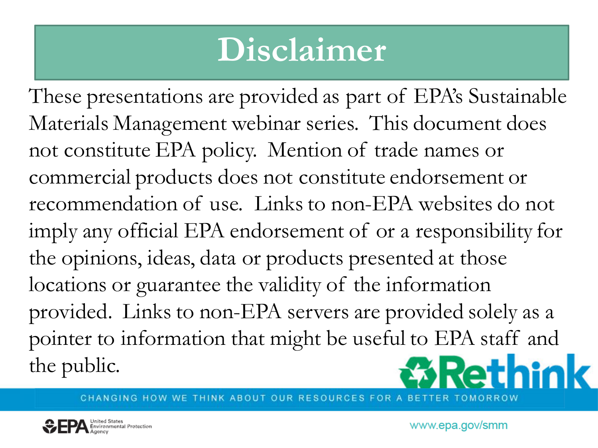# **Disclaimer**

These presentations are provided as part of EPA's Sustainable Materials Management webinar series. This document does not constitute EPA policy. Mention of trade names or commercial products does not constitute endorsement or recommendation of use. Links to non-EPA websites do not imply any official EPA endorsement of or a responsibility for the opinions, ideas, data or products presented at those locations or guarantee the validity of the information provided. Links to non-EPA servers are provided solely as a pointer to information that might be useful to EPA staff and Rethink the public.

CHANGING HOW WE THINK ABOUT OUR RESOURCES FOR

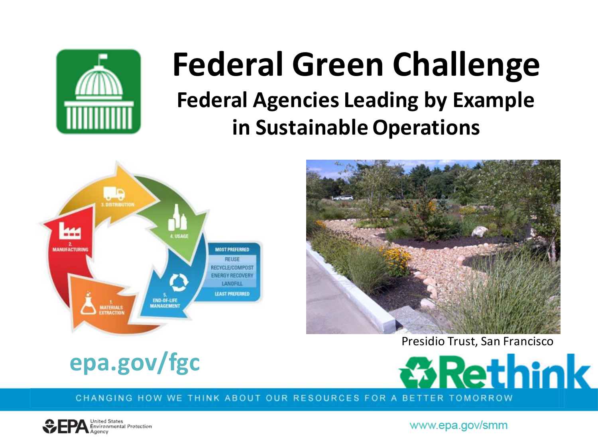

## **Federal Green Challenge Federal Agencies Leading by Example in Sustainable Operations**





Presidio Trust, San Francisco





CHANGING HOW WE THINK ABOUT OUR RESOURCES FOR A BETTER TOMORROW

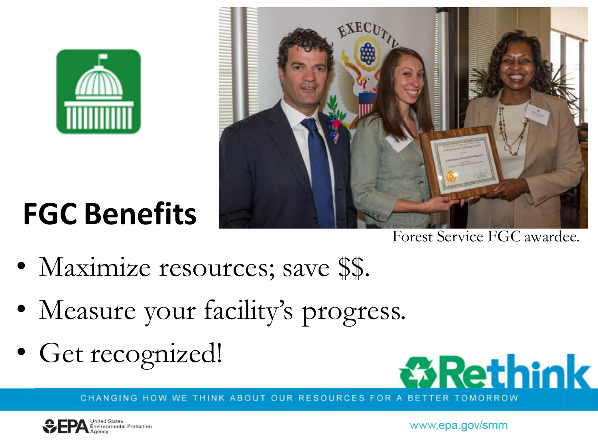

**FGC Benefits**



Forest Service FGC awardee.

- Maximize resources; save \$\$.
- Measure your facility's progress.
- Get recognized!



CHANGING HOW WE THINK ABOUT OUR RESOURCES FOR A BETT TOMORROW

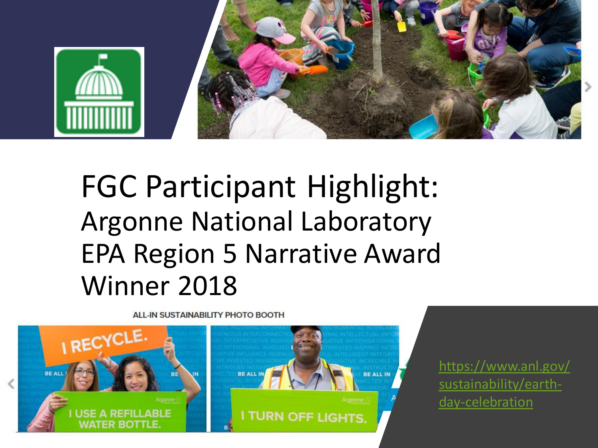

# FGC Participant Highlight: Argonne National Laboratory EPA Region 5 Narrative Award Winner 2018

**ALL-IN SUSTAINABILITY PHOTO BOOTH** 



https://www.anl.gov/ sustainability/earthday-celebration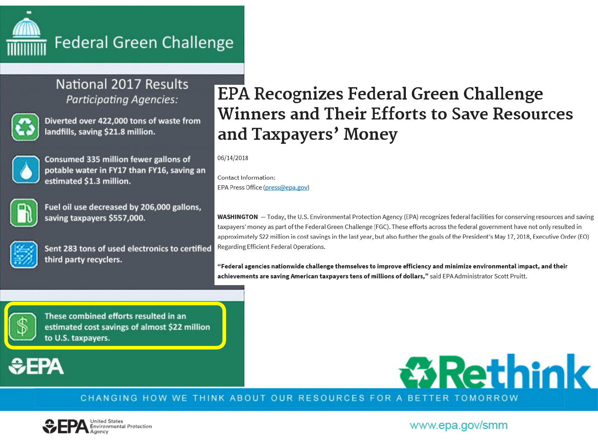

#### **Federal Green Challenge**

#### National 2017 Results **Participating Agencies:**



Diverted over 422,000 tons of waste from landfills, saving \$21.8 million.



Consumed 335 million fewer gallons of potable water in FY17 than FY16, saving an estimated \$1.3 million.



Fuel oil use decreased by 206,000 gallons, saving taxpayers \$557,000.



Sent 283 tons of used electronics to certified third party recyclers.

### EPA Recognizes Federal Green Challenge **Winners and Their Efforts to Save Resources** and Taxpayers' Money

06/14/2018

Contact Information: EPA Press Office (press@epa.gov)

WASHINGTON - Today, the U.S. Environmental Protection Agency (EPA) recognizes federal facilities for conserving resources and saving taxpayers' money as part of the Federal Green Challenge (FGC). These efforts across the federal government have not only resulted in approximately \$22 million in cost savings in the last year, but also further the goals of the President's May 17, 2018, Executive Order (EO) Regarding Efficient Federal Operations.

"Federal agencies nationwide challenge themselves to improve efficiency and minimize environmental impact, and their achievements are saving American taxpayers tens of millions of dollars," said EPA Administrator Scott Pruitt.



These combined efforts resulted in an estimated cost savings of almost \$22 million to U.S. taxpayers.

## **≎FPA**



CHANGING HOW WE THINK ABOUT OUR RESOURCES FOR A BETTER

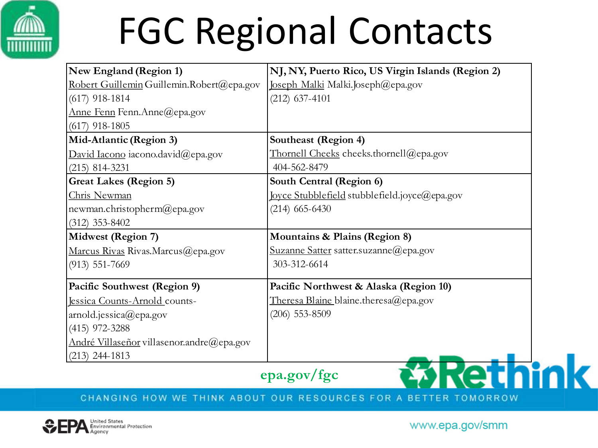

# FGC Regional Contacts

| <b>New England (Region 1)</b>             | NJ, NY, Puerto Rico, US Virgin Islands (Region 2) |
|-------------------------------------------|---------------------------------------------------|
| Robert Guillemin Guillemin.Robert@epa.gov | Joseph Malki Malki.Joseph@epa.gov                 |
| $(617)$ 918-1814                          | $(212)$ 637-4101                                  |
| Anne Fenn Fenn.Anne@epa.gov               |                                                   |
| $(617)$ 918-1805                          |                                                   |
| Mid-Atlantic (Region 3)                   | Southeast (Region 4)                              |
| David Iacono iacono.david@epa.gov         | Thornell Cheeks cheeks.thornell@epa.gov           |
| $(215)$ 814-3231                          | 404-562-8479                                      |
| <b>Great Lakes (Region 5)</b>             | South Central (Region 6)                          |
| Chris Newman                              | Joyce Stubblefield stubblefield.joyce@epa.gov     |
| newman.christopherm@epa.gov               | $(214)$ 665-6430                                  |
| $(312)$ 353-8402                          |                                                   |
| Midwest (Region 7)                        | Mountains & Plains (Region 8)                     |
| Marcus Rivas Rivas.Marcus@epa.gov         | Suzanne Satter satter.suzanne@epa.gov             |
| $(913) 551 - 7669$                        | 303-312-6614                                      |
| Pacific Southwest (Region 9)              | Pacific Northwest & Alaska (Region 10)            |
| Jessica Counts-Arnold counts-             | <u>Theresa Blaine blaine theresa@epa.gov</u>      |
| $ $ arnold.jessica@epa.gov                | $(206)$ 553-8509                                  |
| $(415)$ 972-3288                          |                                                   |
| André Villaseñor villasenor.andre@epa.gov |                                                   |
| $(213)$ 244-1813                          |                                                   |
|                                           |                                                   |

**epa.gov/fgc**

*B***Rethink** 

#### CHANGING HOW WE THINK ABOUT OUR RESOURCES FOR A BETTER TOMORROW

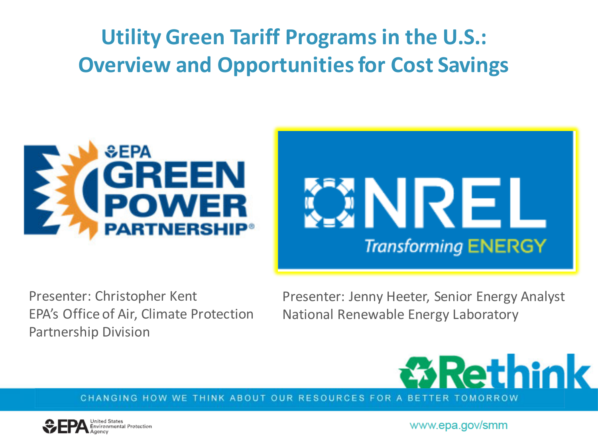## **Utility Green Tariff Programs in the U.S.: Overview and Opportunities for Cost Savings**





Presenter: Christopher Kent EPA's Office of Air, Climate Protection Partnership Division

Presenter: Jenny Heeter, Senior Energy Analyst National Renewable Energy Laboratory



CHANGING HOW WE THINK ABOUT OUR RESOURCES FOR A